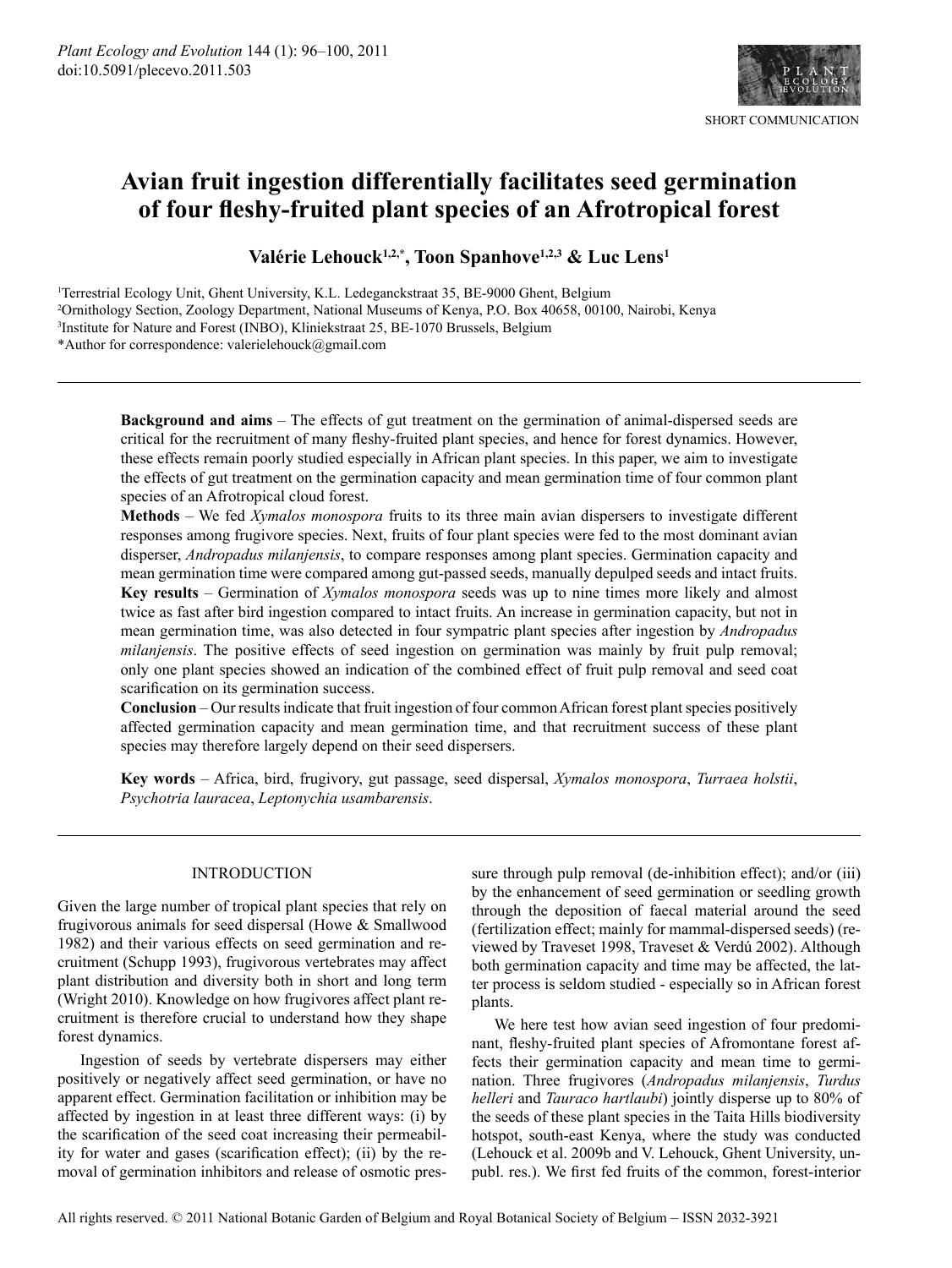

# Avian fruit ingestion differentially facilitates seed germination of four fleshy-fruited plant species of an Afrotropical forest

Valérie Lehouck<sup>1,2,\*</sup>, Toon Spanhove<sup>1,2,3</sup> & Luc Lens<sup>1</sup>

<sup>1</sup>Terrestrial Ecology Unit, Ghent University, K.L. Ledeganckstraat 35, BE-9000 Ghent, Belgium <sup>2</sup>Ornithology Section, Zoology Department, National Museums of Kenya, P.O. Box 40658, 00100, Nairobi, Kenya <sup>3</sup>Institute for Nature and Forest (INBO), Kliniekstraat 25, BE-1070 Brussels, Belgium

\*Author for correspondence: valerielehouck@gmail.com

**Background and aims** – The effects of gut treatment on the germination of animal-dispersed seeds are critical for the recruitment of many fleshy-fruited plant species, and hence for forest dynamics. However, these effects remain poorly studied especially in African plant species. In this paper, we aim to investigate the effects of gut treatment on the germination capacity and mean germination time of four common plant species of an Afrotropical cloud forest.

Methods - We fed Xymalos monospora fruits to its three main avian dispersers to investigate different responses among frugivore species. Next, fruits of four plant species were fed to the most dominant avian disperser, *Andropadus milanjensis*, to compare responses among plant species. Germination capacity and mean germination time were compared among gut-passed seeds, manually depulped seeds and intact fruits. Key results – Germination of Xymalos monospora seeds was up to nine times more likely and almost twice as fast after bird ingestion compared to intact fruits. An increase in germination capacity, but not in mean germination time, was also detected in four sympatric plant species after ingestion by Andropadus *milanjensis*. The positive effects of seed ingestion on germination was mainly by fruit pulp removal; only one plant species showed an indication of the combined effect of fruit pulp removal and seed coat scarification on its germination success.

**Conclusion** – Our results indicate that fruit ingestion of four common African forest plant species positively affected germination capacity and mean germination time, and that recruitment success of these plant species may therefore largely depend on their seed dispersers.

Key words - Africa, bird, frugivory, gut passage, seed dispersal, Xymalos monospora, Turraea holstii, Psychotria lauracea, Leptonychia usambarensis.

## **INTRODUCTION**

Given the large number of tropical plant species that rely on frugivorous animals for seed dispersal (Howe & Smallwood 1982) and their various effects on seed germination and recruitment (Schupp 1993), frugivorous vertebrates may affect plant distribution and diversity both in short and long term (Wright 2010). Knowledge on how frugivores affect plant recruitment is therefore crucial to understand how they shape forest dynamics.

Ingestion of seeds by vertebrate dispersers may either positively or negatively affect seed germination, or have no apparent effect. Germination facilitation or inhibition may be affected by ingestion in at least three different ways: (i) by the scarification of the seed coat increasing their permeability for water and gases (scarification effect); (ii) by the removal of germination inhibitors and release of osmotic pressure through pulp removal (de-inhibition effect); and/or (iii) by the enhancement of seed germination or seedling growth through the deposition of faecal material around the seed (fertilization effect; mainly for mammal-dispersed seeds) (reviewed by Traveset 1998, Traveset & Verdú 2002). Although both germination capacity and time may be affected, the latter process is seldom studied - especially so in African forest plants.

We here test how avian seed ingestion of four predominant, fleshy-fruited plant species of Afromontane forest affects their germination capacity and mean time to germination. Three frugivores (Andropadus milanjensis, Turdus *helleri* and *Tauraco hartlaubi*) jointly disperse up to 80% of the seeds of these plant species in the Taita Hills biodiversity hotspot, south-east Kenya, where the study was conducted (Lehouck et al. 2009b and V. Lehouck, Ghent University, unpubl. res.). We first fed fruits of the common, forest-interior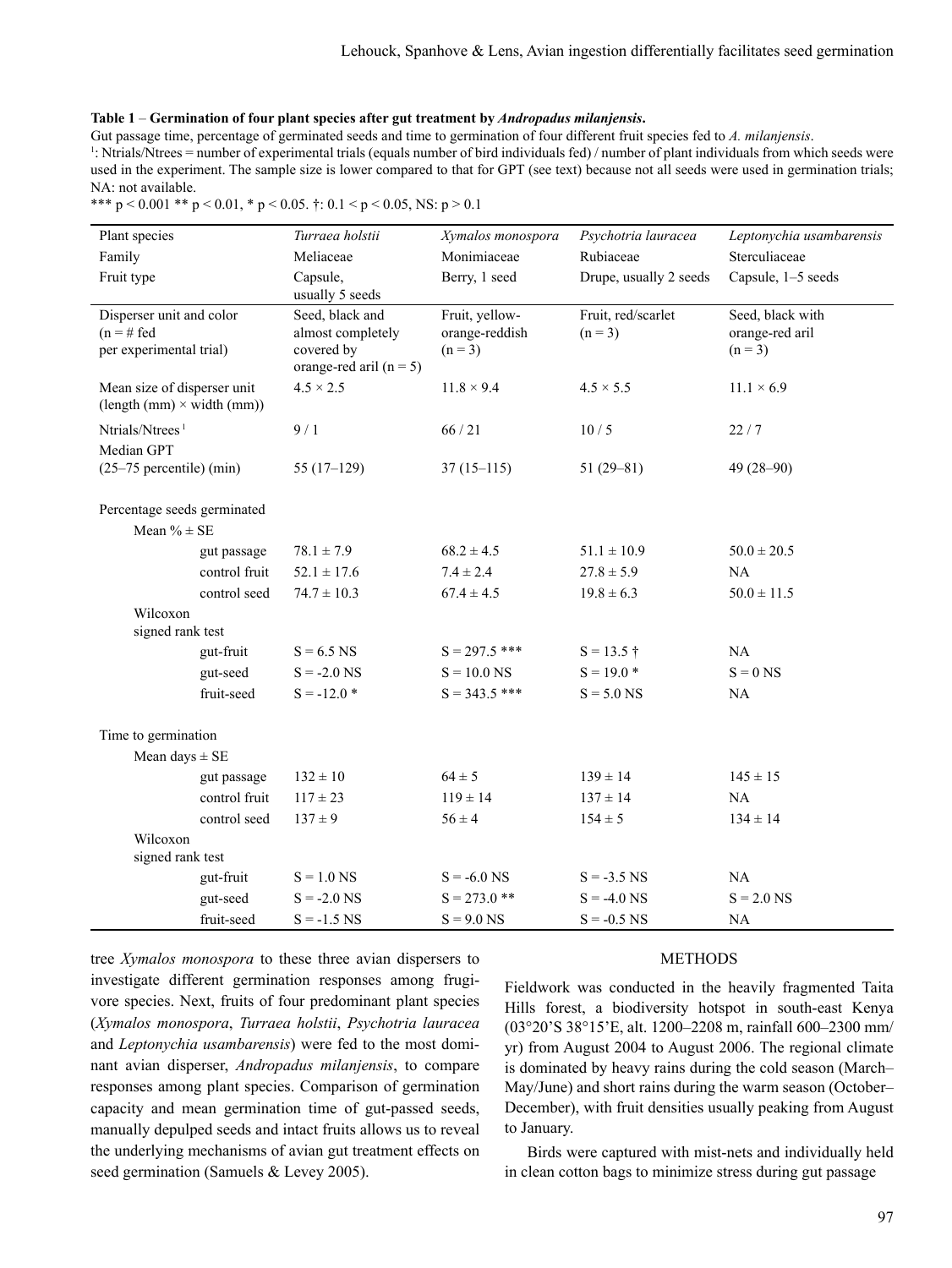#### Table 1 – Germination of four plant species after gut treatment by Andropadus milanjensis.

Gut passage time, percentage of germinated seeds and time to germination of four different fruit species fed to A. milanjensis.

 $\frac{1}{2}$ : Ntrials/Ntrees = number of experimental trials (equals number of bird individuals fed) / number of plant individuals from which seeds were used in the experiment. The sample size is lower compared to that for GPT (see text) because not all seeds were used in germination trials; NA: not available.

\*\*\*  $p < 0.001$  \*\*  $p < 0.01$ , \*  $p < 0.05$ . †: 0.1 <  $p < 0.05$ , NS:  $p > 0.1$ 

| Plant species                                                        |               | Turraea holstii                                                                 | Xymalos monospora                             | Psychotria lauracea             | Leptonychia usambarensis                         |  |
|----------------------------------------------------------------------|---------------|---------------------------------------------------------------------------------|-----------------------------------------------|---------------------------------|--------------------------------------------------|--|
| Family                                                               |               | Meliaceae                                                                       | Monimiaceae                                   | Rubiaceae                       | Sterculiaceae                                    |  |
| Fruit type                                                           |               | Capsule,<br>usually 5 seeds                                                     | Berry, 1 seed                                 | Drupe, usually 2 seeds          | Capsule, 1-5 seeds                               |  |
| Disperser unit and color<br>$(n = # fed)$<br>per experimental trial) |               | Seed, black and<br>almost completely<br>covered by<br>orange-red aril $(n = 5)$ | Fruit, yellow-<br>orange-reddish<br>$(n = 3)$ | Fruit, red/scarlet<br>$(n = 3)$ | Seed, black with<br>orange-red aril<br>$(n = 3)$ |  |
| Mean size of disperser unit<br>$(length(mm) \times width(mm))$       |               | $4.5 \times 2.5$                                                                | $11.8 \times 9.4$                             | $4.5 \times 5.5$                | $11.1 \times 6.9$                                |  |
| Ntrials/Ntrees <sup>1</sup><br>Median GPT                            |               | 9/1                                                                             | 66/21                                         | 10/5                            | 22/7                                             |  |
| $(25-75$ percentile) (min)                                           |               | $55(17-129)$                                                                    | $37(15-115)$                                  | $51(29-81)$                     | $49(28 - 90)$                                    |  |
| Percentage seeds germinated                                          |               |                                                                                 |                                               |                                 |                                                  |  |
| Mean $% \pm SE$                                                      |               |                                                                                 |                                               |                                 |                                                  |  |
|                                                                      | gut passage   | $78.1 \pm 7.9$                                                                  | $68.2 \pm 4.5$                                | $51.1 \pm 10.9$                 | $50.0 \pm 20.5$                                  |  |
|                                                                      | control fruit | $52.1 \pm 17.6$                                                                 | $7.4 \pm 2.4$                                 | $27.8 \pm 5.9$                  | NA                                               |  |
|                                                                      | control seed  | $74.7 \pm 10.3$                                                                 | $67.4 \pm 4.5$                                | $19.8 \pm 6.3$                  | $50.0 \pm 11.5$                                  |  |
| Wilcoxon<br>signed rank test                                         |               |                                                                                 |                                               |                                 |                                                  |  |
|                                                                      | gut-fruit     | $S = 6.5$ NS                                                                    | $S = 297.5$ ***                               | $S = 13.5$ †                    | NA                                               |  |
|                                                                      | gut-seed      | $S = -2.0$ NS                                                                   | $S = 10.0$ NS                                 | $S = 19.0*$                     | $S = 0$ NS                                       |  |
|                                                                      | fruit-seed    | $S = -12.0*$                                                                    | $S = 343.5$ ***                               | $S = 5.0$ NS                    | NA                                               |  |
| Time to germination                                                  |               |                                                                                 |                                               |                                 |                                                  |  |
| Mean days $\pm$ SE                                                   |               |                                                                                 |                                               |                                 |                                                  |  |
|                                                                      | gut passage   | $132 \pm 10$                                                                    | $64 \pm 5$                                    | $139 \pm 14$                    | $145 \pm 15$                                     |  |
|                                                                      | control fruit | $117 \pm 23$                                                                    | $119 \pm 14$                                  | $137 \pm 14$                    | NA                                               |  |
|                                                                      | control seed  | $137 \pm 9$                                                                     | $56 \pm 4$                                    | $154 \pm 5$                     | $134 \pm 14$                                     |  |
| Wilcoxon                                                             |               |                                                                                 |                                               |                                 |                                                  |  |
| signed rank test                                                     |               |                                                                                 |                                               |                                 |                                                  |  |
|                                                                      | gut-fruit     | $S = 1.0$ NS                                                                    | $S = -6.0$ NS                                 | $S = -3.5$ NS                   | NA                                               |  |
|                                                                      | gut-seed      | $S = -2.0$ NS                                                                   | $S = 273.0$ **                                | $S = -4.0$ NS                   | $S = 2.0$ NS                                     |  |
|                                                                      | fruit-seed    | $S = -1.5$ NS                                                                   | $S = 9.0$ NS                                  | $S = -0.5$ NS                   | NA                                               |  |

tree Xymalos monospora to these three avian dispersers to investigate different germination responses among frugivore species. Next, fruits of four predominant plant species (Xymalos monospora, Turraea holstii, Psychotria lauracea and Leptonychia usambarensis) were fed to the most dominant avian disperser, Andropadus milanjensis, to compare responses among plant species. Comparison of germination capacity and mean germination time of gut-passed seeds, manually depulped seeds and intact fruits allows us to reveal the underlying mechanisms of avian gut treatment effects on seed germination (Samuels & Levey 2005).

### **METHODS**

Fieldwork was conducted in the heavily fragmented Taita Hills forest, a biodiversity hotspot in south-east Kenya (03°20'S 38°15'E, alt. 1200–2208 m, rainfall 600–2300 mm/ yr) from August 2004 to August 2006. The regional climate is dominated by heavy rains during the cold season (March-May/June) and short rains during the warm season (October-December), with fruit densities usually peaking from August to January.

Birds were captured with mist-nets and individually held in clean cotton bags to minimize stress during gut passage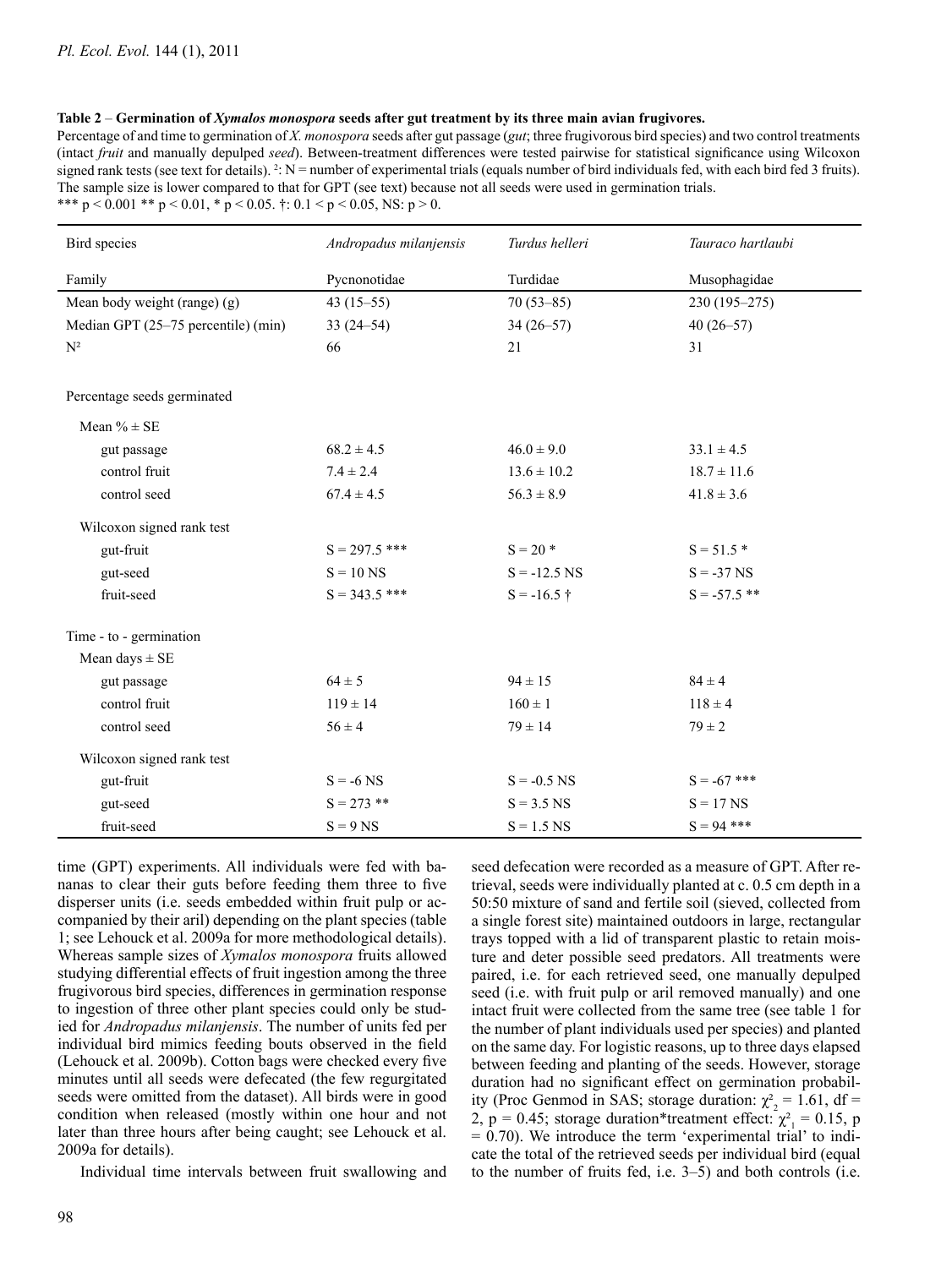#### Table 2 – Germination of Xymalos monospora seeds after gut treatment by its three main avian frugivores.

Percentage of and time to germination of X. monospora seeds after gut passage (gut; three frugivorous bird species) and two control treatments (intact fruit and manually depulped seed). Between-treatment differences were tested pairwise for statistical significance using Wilcoxon signed rank tests (see text for details).  $2: N =$  number of experimental trials (equals number of bird individuals fed, with each bird fed 3 fruits). The sample size is lower compared to that for GPT (see text) because not all seeds were used in germination trials. \*\*\*  $p < 0.001$  \*\*  $p < 0.01$ , \*  $p < 0.05$ . †: 0.1 <  $p < 0.05$ , NS:  $p > 0$ .

| Bird species                        | Andropadus milanjensis | Turdus helleri  | Tauraco hartlaubi |  |  |  |
|-------------------------------------|------------------------|-----------------|-------------------|--|--|--|
| Family                              | Pycnonotidae           | Turdidae        | Musophagidae      |  |  |  |
| Mean body weight (range) $(g)$      | $43(15-55)$            | $70(53 - 85)$   | 230 (195-275)     |  |  |  |
| Median GPT (25-75 percentile) (min) | $33(24 - 54)$          | $34(26 - 57)$   | $40(26 - 57)$     |  |  |  |
| $\mathbf{N}^2$                      | 66                     | 21              | 31                |  |  |  |
| Percentage seeds germinated         |                        |                 |                   |  |  |  |
| Mean $% \pm SE$                     |                        |                 |                   |  |  |  |
| gut passage                         | $68.2 \pm 4.5$         | $46.0 \pm 9.0$  | $33.1 \pm 4.5$    |  |  |  |
| control fruit                       | $7.4 \pm 2.4$          | $13.6 \pm 10.2$ | $18.7 \pm 11.6$   |  |  |  |
| control seed                        | $67.4 \pm 4.5$         | $56.3 \pm 8.9$  | $41.8 \pm 3.6$    |  |  |  |
| Wilcoxon signed rank test           |                        |                 |                   |  |  |  |
| gut-fruit                           | $S = 297.5$ ***        | $S = 20$ *      | $S = 51.5*$       |  |  |  |
| gut-seed                            | $S = 10$ NS            | $S = -12.5$ NS  | $S = -37$ NS      |  |  |  |
| fruit-seed                          | $S = 343.5$ ***        | $S = -16.5$ †   | $S = -57.5$ **    |  |  |  |
| Time - to - germination             |                        |                 |                   |  |  |  |
| Mean days $\pm$ SE                  |                        |                 |                   |  |  |  |
| gut passage                         | $64 \pm 5$             | $94 \pm 15$     | $84 \pm 4$        |  |  |  |
| control fruit                       | $119 \pm 14$           | $160 \pm 1$     | $118 \pm 4$       |  |  |  |
| control seed                        | $56 \pm 4$             | $79 \pm 14$     | $79 \pm 2$        |  |  |  |
| Wilcoxon signed rank test           |                        |                 |                   |  |  |  |
| gut-fruit                           | $S = -6$ NS            | $S = -0.5$ NS   | $S = -67$ ***     |  |  |  |
| gut-seed                            | $S = 273$ **           | $S = 3.5$ NS    | $S = 17$ NS       |  |  |  |
| fruit-seed                          | $S = 9$ NS             | $S = 1.5$ NS    | $S = 94$ ***      |  |  |  |

time (GPT) experiments. All individuals were fed with bananas to clear their guts before feeding them three to five disperser units (i.e. seeds embedded within fruit pulp or accompanied by their aril) depending on the plant species (table 1; see Lehouck et al. 2009a for more methodological details). Whereas sample sizes of Xymalos monospora fruits allowed studying differential effects of fruit ingestion among the three frugivorous bird species, differences in germination response to ingestion of three other plant species could only be studied for Andropadus milanjensis. The number of units fed per individual bird mimics feeding bouts observed in the field (Lehouck et al. 2009b). Cotton bags were checked every five minutes until all seeds were defecated (the few regurgitated seeds were omitted from the dataset). All birds were in good condition when released (mostly within one hour and not later than three hours after being caught; see Lehouck et al. 2009a for details).

Individual time intervals between fruit swallowing and

seed defecation were recorded as a measure of GPT. After retrieval, seeds were individually planted at c. 0.5 cm depth in a 50:50 mixture of sand and fertile soil (sieved, collected from a single forest site) maintained outdoors in large, rectangular trays topped with a lid of transparent plastic to retain moisture and deter possible seed predators. All treatments were paired, i.e. for each retrieved seed, one manually depulped seed (i.e. with fruit pulp or aril removed manually) and one intact fruit were collected from the same tree (see table 1 for the number of plant individuals used per species) and planted on the same day. For logistic reasons, up to three days elapsed between feeding and planting of the seeds. However, storage duration had no significant effect on germination probability (Proc Genmod in SAS; storage duration:  $\chi^2_{2} = 1.61$ , df = 2, p = 0.45; storage duration\*treatment effect:  $\chi^2 = 0.15$ , p  $= 0.70$ ). We introduce the term 'experimental trial' to indicate the total of the retrieved seeds per individual bird (equal to the number of fruits fed, i.e. 3–5) and both controls (i.e.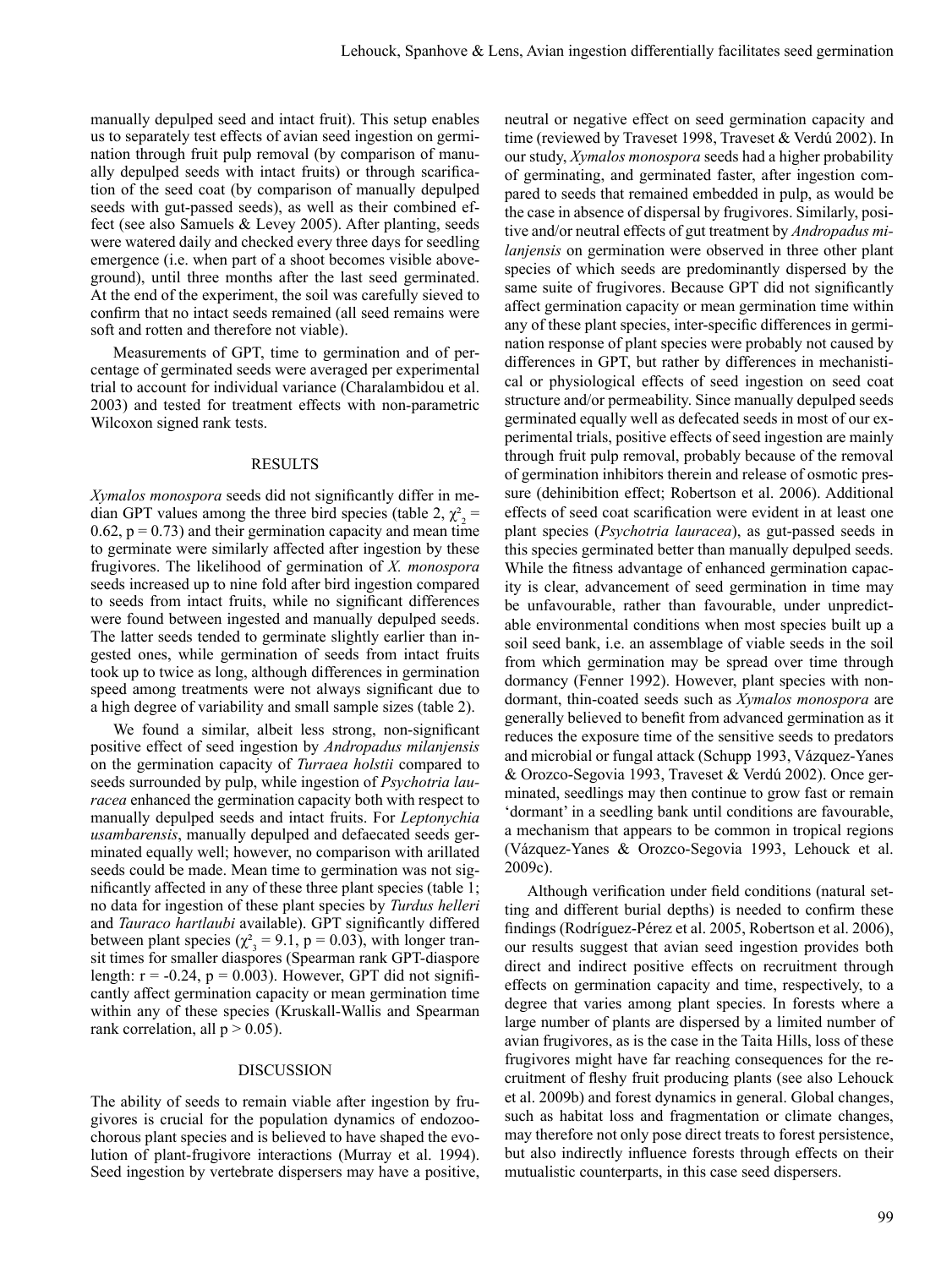manually depulped seed and intact fruit). This setup enables us to separately test effects of avian seed ingestion on germination through fruit pulp removal (by comparison of manually depulped seeds with intact fruits) or through scarification of the seed coat (by comparison of manually depulped seeds with gut-passed seeds), as well as their combined effect (see also Samuels & Levey 2005). After planting, seeds were watered daily and checked every three days for seedling emergence (i.e. when part of a shoot becomes visible aboveground), until three months after the last seed germinated. At the end of the experiment, the soil was carefully sieved to confirm that no intact seeds remained (all seed remains were soft and rotten and therefore not viable).

Measurements of GPT, time to germination and of percentage of germinated seeds were averaged per experimental trial to account for individual variance (Charalambidou et al. 2003) and tested for treatment effects with non-parametric Wilcoxon signed rank tests.

#### **RESULTS**

*Xymalos monospora* seeds did not significantly differ in median GPT values among the three bird species (table 2,  $\chi^2$ ) =  $0.62$ ,  $p = 0.73$ ) and their germination capacity and mean time to germinate were similarly affected after ingestion by these frugivores. The likelihood of germination of X. monospora seeds increased up to nine fold after bird ingestion compared to seeds from intact fruits, while no significant differences were found between ingested and manually depulped seeds. The latter seeds tended to germinate slightly earlier than ingested ones, while germination of seeds from intact fruits took up to twice as long, although differences in germination speed among treatments were not always significant due to a high degree of variability and small sample sizes (table 2).

We found a similar, albeit less strong, non-significant positive effect of seed ingestion by Andropadus milanjensis on the germination capacity of Turraea holstii compared to seeds surrounded by pulp, while ingestion of *Psychotria lauracea* enhanced the germination capacity both with respect to manually depulped seeds and intact fruits. For *Leptonychia usambarensis*, manually depulped and defaecated seeds germinated equally well; however, no comparison with arillated seeds could be made. Mean time to germination was not significantly affected in any of these three plant species (table 1; no data for ingestion of these plant species by Turdus helleri and Tauraco hartlaubi available). GPT significantly differed between plant species ( $\chi^2$ <sub>3</sub> = 9.1, p = 0.03), with longer transit times for smaller diaspores (Spearman rank GPT-diaspore length:  $r = -0.24$ ,  $p = 0.003$ ). However, GPT did not significantly affect germination capacity or mean germination time within any of these species (Kruskall-Wallis and Spearman rank correlation, all  $p > 0.05$ ).

## **DISCUSSION**

The ability of seeds to remain viable after ingestion by frugivores is crucial for the population dynamics of endozoochorous plant species and is believed to have shaped the evolution of plant-frugivore interactions (Murray et al. 1994). Seed ingestion by vertebrate dispersers may have a positive, neutral or negative effect on seed germination capacity and time (reviewed by Traveset 1998, Traveset & Verdú 2002). In our study, *Xymalos monospora* seeds had a higher probability of germinating, and germinated faster, after ingestion compared to seeds that remained embedded in pulp, as would be the case in absence of dispersal by frugivores. Similarly, positive and/or neutral effects of gut treatment by *Andropadus mi* lanjensis on germination were observed in three other plant species of which seeds are predominantly dispersed by the same suite of frugivores. Because GPT did not significantly affect germination capacity or mean germination time within any of these plant species, inter-specific differences in germination response of plant species were probably not caused by differences in GPT, but rather by differences in mechanistical or physiological effects of seed ingestion on seed coat structure and/or permeability. Since manually depulped seeds germinated equally well as defecated seeds in most of our experimental trials, positive effects of seed ingestion are mainly through fruit pulp removal, probably because of the removal of germination inhibitors therein and release of osmotic pressure (dehinibition effect; Robertson et al. 2006). Additional effects of seed coat scarification were evident in at least one plant species (*Psychotria lauracea*), as gut-passed seeds in this species germinated better than manually depulped seeds. While the fitness advantage of enhanced germination capacity is clear, advancement of seed germination in time may be unfavourable, rather than favourable, under unpredictable environmental conditions when most species built up a soil seed bank, i.e. an assemblage of viable seeds in the soil from which germination may be spread over time through dormancy (Fenner 1992). However, plant species with nondormant, thin-coated seeds such as Xymalos monospora are generally believed to benefit from advanced germination as it reduces the exposure time of the sensitive seeds to predators and microbial or fungal attack (Schupp 1993, Vázquez-Yanes & Orozco-Segovia 1993, Traveset & Verdú 2002). Once germinated, seedlings may then continue to grow fast or remain 'dormant' in a seedling bank until conditions are favourable, a mechanism that appears to be common in tropical regions (Vázquez-Yanes & Orozco-Segovia 1993, Lehouck et al.  $2009c$ ).

Although verification under field conditions (natural setting and different burial depths) is needed to confirm these findings (Rodríguez-Pérez et al. 2005, Robertson et al. 2006). our results suggest that avian seed ingestion provides both direct and indirect positive effects on recruitment through effects on germination capacity and time, respectively, to a degree that varies among plant species. In forests where a large number of plants are dispersed by a limited number of avian frugivores, as is the case in the Taita Hills, loss of these frugivores might have far reaching consequences for the recruitment of fleshy fruit producing plants (see also Lehouck et al. 2009b) and forest dynamics in general. Global changes, such as habitat loss and fragmentation or climate changes, may therefore not only pose direct treats to forest persistence. but also indirectly influence forests through effects on their mutualistic counterparts, in this case seed dispersers.